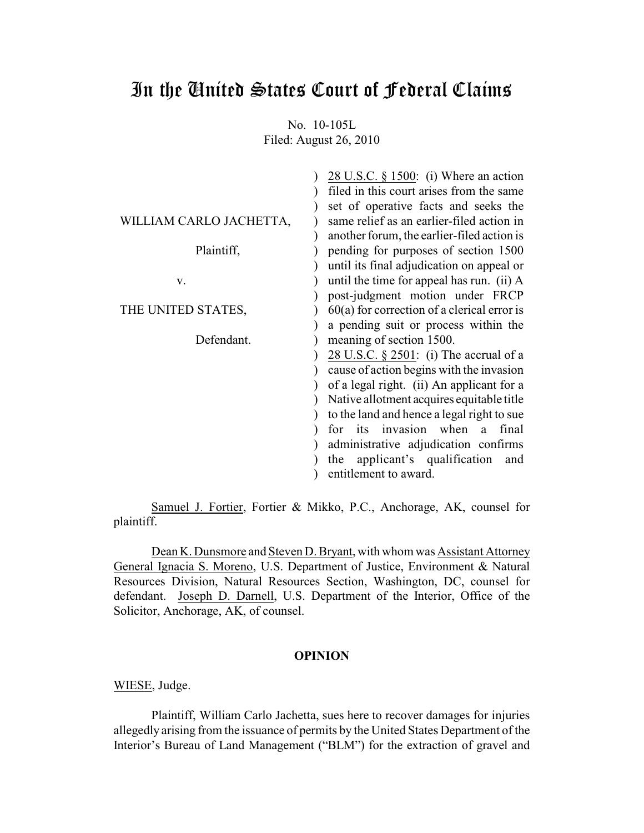# In the United States Court of Federal Claims

No. 10-105L Filed: August 26, 2010

| 28 U.S.C. $\S$ 1500: (i) Where an action      |
|-----------------------------------------------|
| filed in this court arises from the same      |
| set of operative facts and seeks the          |
| same relief as an earlier-filed action in     |
| another forum, the earlier-filed action is    |
| pending for purposes of section 1500          |
| until its final adjudication on appeal or     |
| until the time for appeal has run. (ii) A     |
| post-judgment motion under FRCP               |
| $60(a)$ for correction of a clerical error is |
| a pending suit or process within the          |
| meaning of section 1500.                      |
| 28 U.S.C. $\S$ 2501: (i) The accrual of a     |
| cause of action begins with the invasion      |
| of a legal right. (ii) An applicant for a     |
| Native allotment acquires equitable title     |
| to the land and hence a legal right to sue    |
| for its invasion when<br>final<br>a           |
| administrative adjudication confirms          |
| applicant's qualification and<br>the          |
| entitlement to award.                         |
|                                               |

Samuel J. Fortier, Fortier & Mikko, P.C., Anchorage, AK, counsel for plaintiff.

Dean K. Dunsmore and Steven D. Bryant, with whom was Assistant Attorney General Ignacia S. Moreno, U.S. Department of Justice, Environment & Natural Resources Division, Natural Resources Section, Washington, DC, counsel for defendant. Joseph D. Darnell, U.S. Department of the Interior, Office of the Solicitor, Anchorage, AK, of counsel.

## **OPINION**

WIESE, Judge.

Plaintiff, William Carlo Jachetta, sues here to recover damages for injuries allegedly arising from the issuance of permits by the United States Department of the Interior's Bureau of Land Management ("BLM") for the extraction of gravel and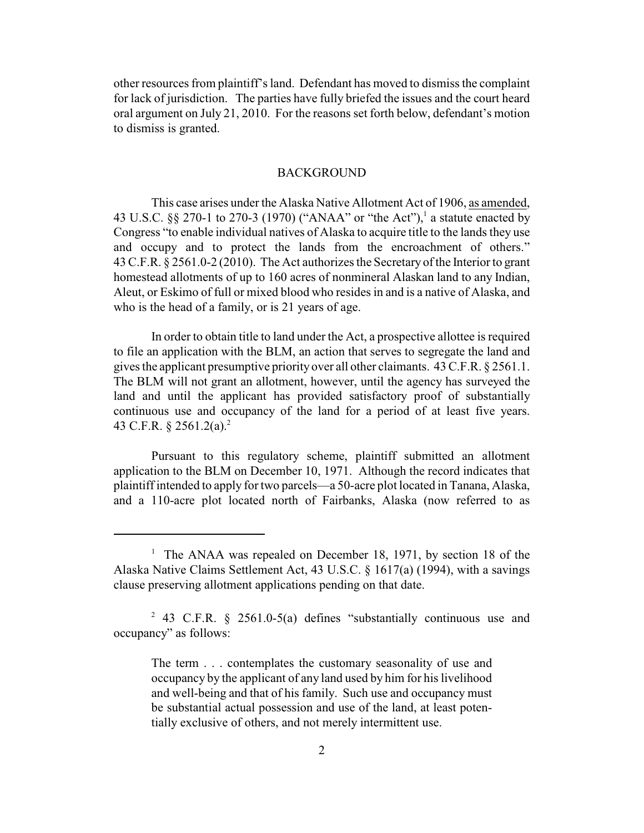other resources from plaintiff's land. Defendant has moved to dismiss the complaint for lack of jurisdiction. The parties have fully briefed the issues and the court heard oral argument on July 21, 2010. For the reasons set forth below, defendant's motion to dismiss is granted.

### BACKGROUND

This case arises under the Alaska Native Allotment Act of 1906, as amended, 43 U.S.C. §§ 270-1 to 270-3 (1970) ("ANAA" or "the Act"), a statute enacted by <sup>1</sup> Congress "to enable individual natives of Alaska to acquire title to the lands they use and occupy and to protect the lands from the encroachment of others." 43 C.F.R. § 2561.0-2 (2010). The Act authorizes the Secretary of the Interior to grant homestead allotments of up to 160 acres of nonmineral Alaskan land to any Indian, Aleut, or Eskimo of full or mixed blood who resides in and is a native of Alaska, and who is the head of a family, or is 21 years of age.

In order to obtain title to land under the Act, a prospective allottee is required to file an application with the BLM, an action that serves to segregate the land and gives the applicant presumptive priority over all other claimants. 43 C.F.R. § 2561.1. The BLM will not grant an allotment, however, until the agency has surveyed the land and until the applicant has provided satisfactory proof of substantially continuous use and occupancy of the land for a period of at least five years. 43 C.F.R.  $\S 2561.2(a).^2$ 

Pursuant to this regulatory scheme, plaintiff submitted an allotment application to the BLM on December 10, 1971. Although the record indicates that plaintiff intended to apply for two parcels—a 50-acre plot located in Tanana, Alaska, and a 110-acre plot located north of Fairbanks, Alaska (now referred to as

<sup>&</sup>lt;sup>1</sup> The ANAA was repealed on December 18, 1971, by section 18 of the Alaska Native Claims Settlement Act, 43 U.S.C. § 1617(a) (1994), with a savings clause preserving allotment applications pending on that date.

<sup>&</sup>lt;sup>2</sup> 43 C.F.R. § 2561.0-5(a) defines "substantially continuous use and occupancy" as follows:

The term . . . contemplates the customary seasonality of use and occupancy by the applicant of any land used by him for his livelihood and well-being and that of his family. Such use and occupancy must be substantial actual possession and use of the land, at least potentially exclusive of others, and not merely intermittent use.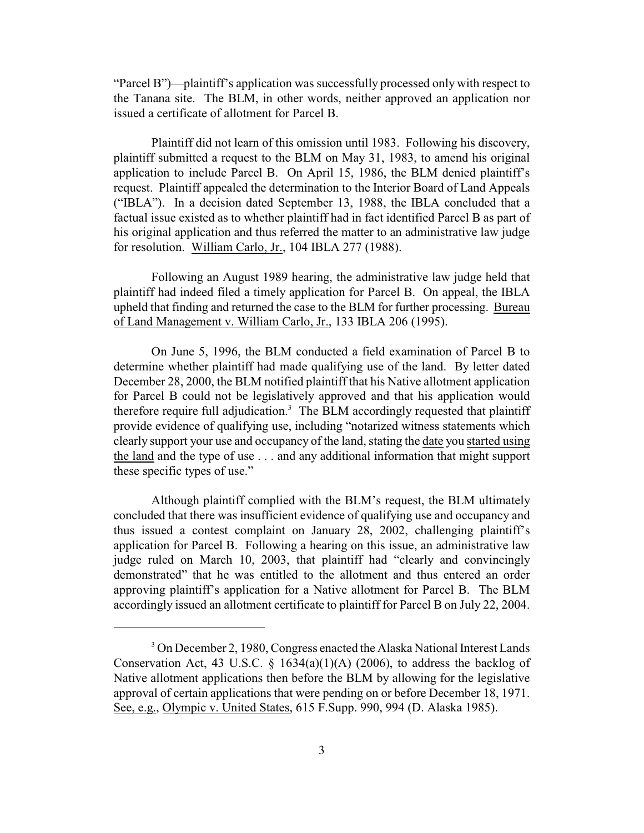"Parcel B")—plaintiff's application was successfully processed only with respect to the Tanana site. The BLM, in other words, neither approved an application nor issued a certificate of allotment for Parcel B.

Plaintiff did not learn of this omission until 1983. Following his discovery, plaintiff submitted a request to the BLM on May 31, 1983, to amend his original application to include Parcel B. On April 15, 1986, the BLM denied plaintiff's request. Plaintiff appealed the determination to the Interior Board of Land Appeals ("IBLA"). In a decision dated September 13, 1988, the IBLA concluded that a factual issue existed as to whether plaintiff had in fact identified Parcel B as part of his original application and thus referred the matter to an administrative law judge for resolution. William Carlo, Jr., 104 IBLA 277 (1988).

Following an August 1989 hearing, the administrative law judge held that plaintiff had indeed filed a timely application for Parcel B. On appeal, the IBLA upheld that finding and returned the case to the BLM for further processing. Bureau of Land Management v. William Carlo, Jr., 133 IBLA 206 (1995).

On June 5, 1996, the BLM conducted a field examination of Parcel B to determine whether plaintiff had made qualifying use of the land. By letter dated December 28, 2000, the BLM notified plaintiff that his Native allotment application for Parcel B could not be legislatively approved and that his application would therefore require full adjudication.<sup>3</sup> The BLM accordingly requested that plaintiff provide evidence of qualifying use, including "notarized witness statements which clearly support your use and occupancy of the land, stating the date you started using the land and the type of use . . . and any additional information that might support these specific types of use."

Although plaintiff complied with the BLM's request, the BLM ultimately concluded that there was insufficient evidence of qualifying use and occupancy and thus issued a contest complaint on January 28, 2002, challenging plaintiff's application for Parcel B. Following a hearing on this issue, an administrative law judge ruled on March 10, 2003, that plaintiff had "clearly and convincingly demonstrated" that he was entitled to the allotment and thus entered an order approving plaintiff's application for a Native allotment for Parcel B. The BLM accordingly issued an allotment certificate to plaintiff for Parcel B on July 22, 2004.

<sup>&</sup>lt;sup>3</sup> On December 2, 1980, Congress enacted the Alaska National Interest Lands Conservation Act, 43 U.S.C.  $\S$  1634(a)(1)(A) (2006), to address the backlog of Native allotment applications then before the BLM by allowing for the legislative approval of certain applications that were pending on or before December 18, 1971. See, e.g., Olympic v. United States, 615 F.Supp. 990, 994 (D. Alaska 1985).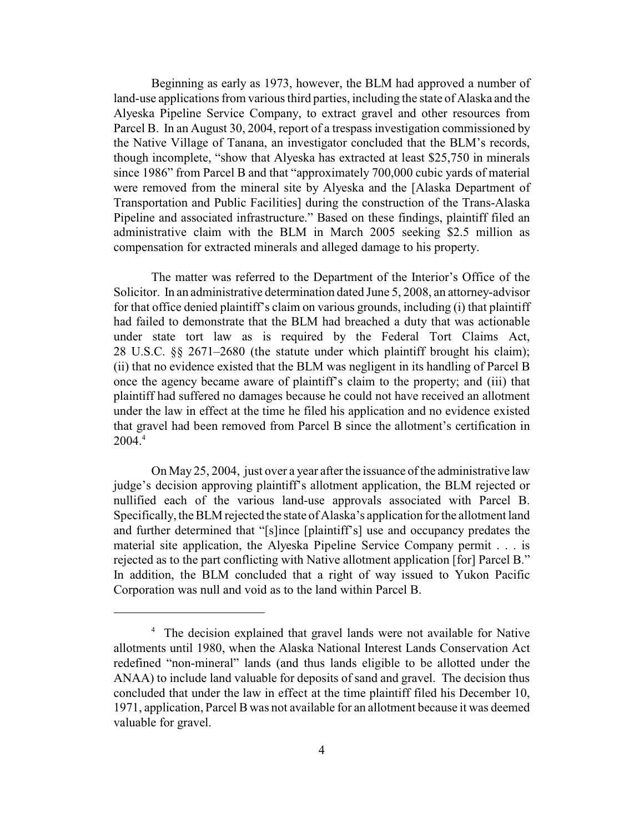Beginning as early as 1973, however, the BLM had approved a number of land-use applications from various third parties, including the state of Alaska and the Alyeska Pipeline Service Company, to extract gravel and other resources from Parcel B. In an August 30, 2004, report of a trespass investigation commissioned by the Native Village of Tanana, an investigator concluded that the BLM's records, though incomplete, "show that Alyeska has extracted at least \$25,750 in minerals since 1986" from Parcel B and that "approximately 700,000 cubic yards of material were removed from the mineral site by Alyeska and the [Alaska Department of Transportation and Public Facilities] during the construction of the Trans-Alaska Pipeline and associated infrastructure." Based on these findings, plaintiff filed an administrative claim with the BLM in March 2005 seeking \$2.5 million as compensation for extracted minerals and alleged damage to his property.

The matter was referred to the Department of the Interior's Office of the Solicitor. In an administrative determination dated June 5, 2008, an attorney-advisor for that office denied plaintiff's claim on various grounds, including (i) that plaintiff had failed to demonstrate that the BLM had breached a duty that was actionable under state tort law as is required by the Federal Tort Claims Act, 28 U.S.C. §§ 2671–2680 (the statute under which plaintiff brought his claim); (ii) that no evidence existed that the BLM was negligent in its handling of Parcel B once the agency became aware of plaintiff's claim to the property; and (iii) that plaintiff had suffered no damages because he could not have received an allotment under the law in effect at the time he filed his application and no evidence existed that gravel had been removed from Parcel B since the allotment's certification in  $2004.<sup>4</sup>$ 

On May 25, 2004, just over a year after the issuance of the administrative law judge's decision approving plaintiff's allotment application, the BLM rejected or nullified each of the various land-use approvals associated with Parcel B. Specifically, the BLM rejected the state of Alaska's application for the allotment land and further determined that "[s]ince [plaintiff's] use and occupancy predates the material site application, the Alyeska Pipeline Service Company permit . . . is rejected as to the part conflicting with Native allotment application [for] Parcel B." In addition, the BLM concluded that a right of way issued to Yukon Pacific Corporation was null and void as to the land within Parcel B.

<sup>&</sup>lt;sup>4</sup> The decision explained that gravel lands were not available for Native allotments until 1980, when the Alaska National Interest Lands Conservation Act redefined "non-mineral" lands (and thus lands eligible to be allotted under the ANAA) to include land valuable for deposits of sand and gravel. The decision thus concluded that under the law in effect at the time plaintiff filed his December 10, 1971, application, Parcel B was not available for an allotment because it was deemed valuable for gravel.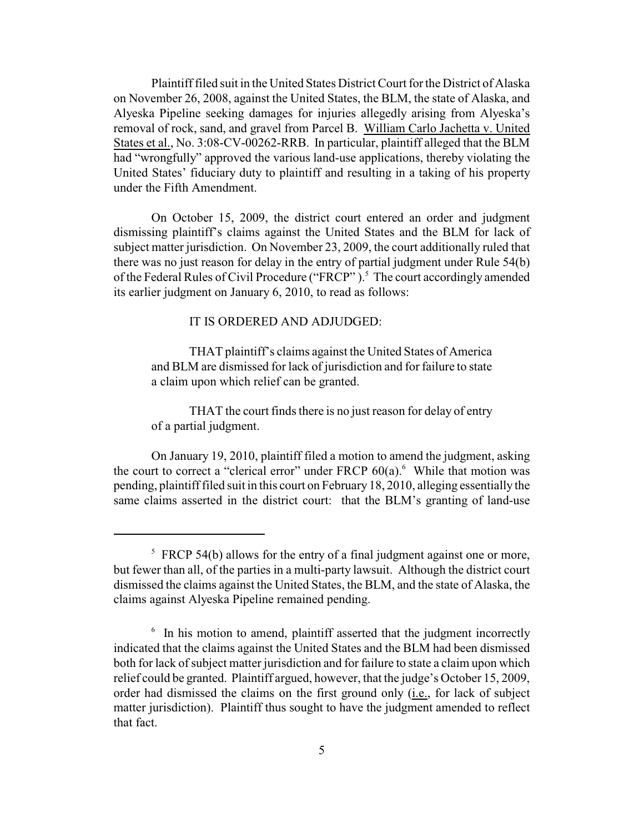Plaintiff filed suit in the United States District Court for the District of Alaska on November 26, 2008, against the United States, the BLM, the state of Alaska, and Alyeska Pipeline seeking damages for injuries allegedly arising from Alyeska's removal of rock, sand, and gravel from Parcel B. William Carlo Jachetta v. United States et al., No. 3:08-CV-00262-RRB. In particular, plaintiff alleged that the BLM had "wrongfully" approved the various land-use applications, thereby violating the United States' fiduciary duty to plaintiff and resulting in a taking of his property under the Fifth Amendment.

On October 15, 2009, the district court entered an order and judgment dismissing plaintiff's claims against the United States and the BLM for lack of subject matter jurisdiction. On November 23, 2009, the court additionally ruled that there was no just reason for delay in the entry of partial judgment under Rule 54(b) of the Federal Rules of Civil Procedure ("FRCP").<sup>5</sup> The court accordingly amended its earlier judgment on January 6, 2010, to read as follows:

#### IT IS ORDERED AND ADJUDGED:

THAT plaintiff's claims against the United States of America and BLM are dismissed for lack of jurisdiction and for failure to state a claim upon which relief can be granted.

THAT the court finds there is no just reason for delay of entry of a partial judgment.

On January 19, 2010, plaintiff filed a motion to amend the judgment, asking the court to correct a "clerical error" under FRCP  $60(a)$ . While that motion was pending, plaintiff filed suit in this court on February 18, 2010, alleging essentially the same claims asserted in the district court: that the BLM's granting of land-use

 $5$  FRCP 54(b) allows for the entry of a final judgment against one or more, but fewer than all, of the parties in a multi-party lawsuit. Although the district court dismissed the claims against the United States, the BLM, and the state of Alaska, the claims against Alyeska Pipeline remained pending.

 $\delta$ . In his motion to amend, plaintiff asserted that the judgment incorrectly indicated that the claims against the United States and the BLM had been dismissed both for lack of subject matter jurisdiction and for failure to state a claim upon which relief could be granted. Plaintiff argued, however, that the judge's October 15, 2009, order had dismissed the claims on the first ground only (i.e., for lack of subject matter jurisdiction). Plaintiff thus sought to have the judgment amended to reflect that fact.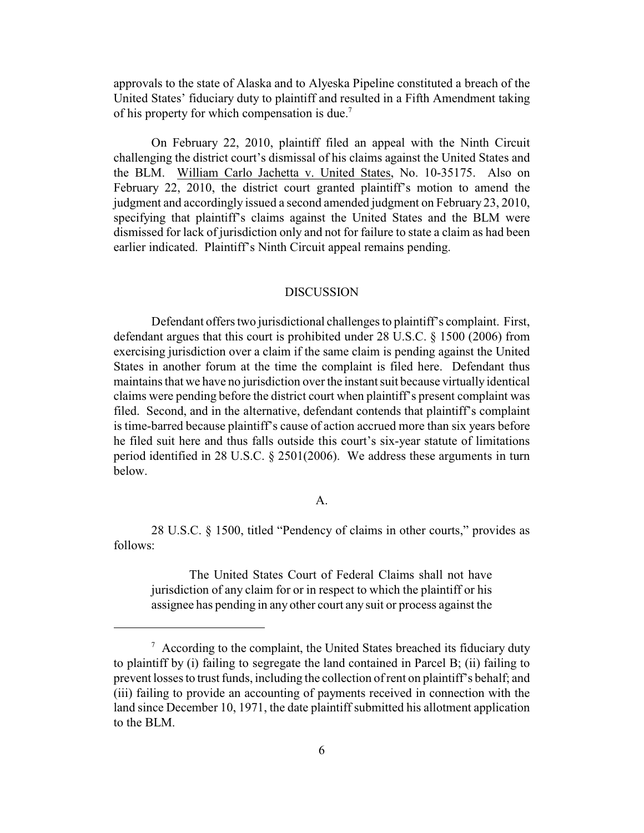approvals to the state of Alaska and to Alyeska Pipeline constituted a breach of the United States' fiduciary duty to plaintiff and resulted in a Fifth Amendment taking of his property for which compensation is due.<sup>7</sup>

On February 22, 2010, plaintiff filed an appeal with the Ninth Circuit challenging the district court's dismissal of his claims against the United States and the BLM. William Carlo Jachetta v. United States, No. 10-35175. Also on February 22, 2010, the district court granted plaintiff's motion to amend the judgment and accordingly issued a second amended judgment on February 23, 2010, specifying that plaintiff's claims against the United States and the BLM were dismissed for lack of jurisdiction only and not for failure to state a claim as had been earlier indicated. Plaintiff's Ninth Circuit appeal remains pending.

### DISCUSSION

Defendant offers two jurisdictional challenges to plaintiff's complaint. First, defendant argues that this court is prohibited under 28 U.S.C. § 1500 (2006) from exercising jurisdiction over a claim if the same claim is pending against the United States in another forum at the time the complaint is filed here. Defendant thus maintains that we have no jurisdiction over the instant suit because virtually identical claims were pending before the district court when plaintiff's present complaint was filed. Second, and in the alternative, defendant contends that plaintiff's complaint is time-barred because plaintiff's cause of action accrued more than six years before he filed suit here and thus falls outside this court's six-year statute of limitations period identified in 28 U.S.C. § 2501(2006). We address these arguments in turn below.

#### A.

28 U.S.C. § 1500, titled "Pendency of claims in other courts," provides as follows:

The United States Court of Federal Claims shall not have jurisdiction of any claim for or in respect to which the plaintiff or his assignee has pending in any other court any suit or process against the

 $\alpha$  According to the complaint, the United States breached its fiduciary duty to plaintiff by (i) failing to segregate the land contained in Parcel B; (ii) failing to prevent losses to trust funds, including the collection of rent on plaintiff's behalf; and (iii) failing to provide an accounting of payments received in connection with the land since December 10, 1971, the date plaintiff submitted his allotment application to the BLM.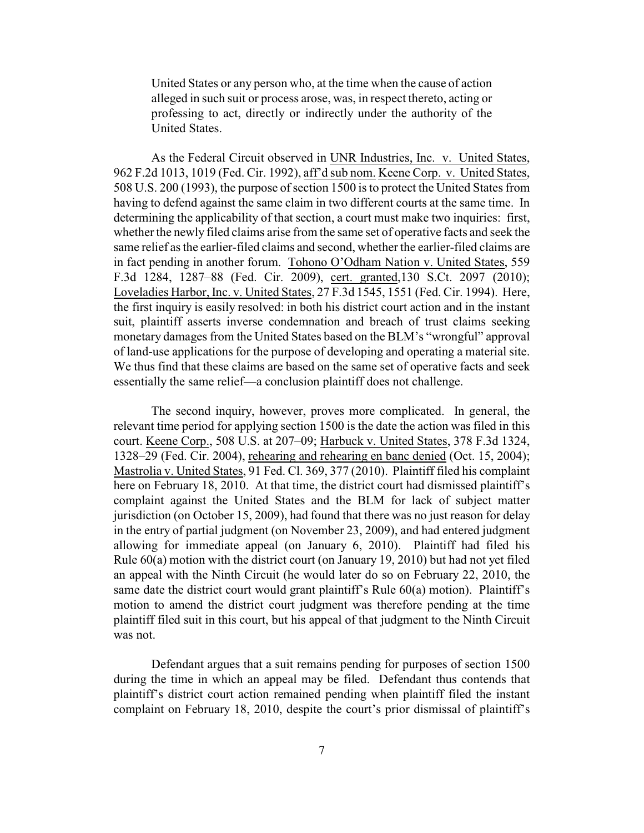United States or any person who, at the time when the cause of action alleged in such suit or process arose, was, in respect thereto, acting or professing to act, directly or indirectly under the authority of the United States.

As the Federal Circuit observed in UNR Industries, Inc. v. United States, 962 F.2d 1013, 1019 (Fed. Cir. 1992), aff'd sub nom. Keene Corp. v. United States, 508 U.S. 200 (1993), the purpose of section 1500 is to protect the United States from having to defend against the same claim in two different courts at the same time. In determining the applicability of that section, a court must make two inquiries: first, whether the newly filed claims arise from the same set of operative facts and seek the same relief as the earlier-filed claims and second, whether the earlier-filed claims are in fact pending in another forum. Tohono O'Odham Nation v. United States, 559 F.3d 1284, 1287–88 (Fed. Cir. 2009), cert. granted,130 S.Ct. 2097 (2010); Loveladies Harbor, Inc. v. United States, 27 F.3d 1545, 1551 (Fed. Cir. 1994). Here, the first inquiry is easily resolved: in both his district court action and in the instant suit, plaintiff asserts inverse condemnation and breach of trust claims seeking monetary damages from the United States based on the BLM's "wrongful" approval of land-use applications for the purpose of developing and operating a material site. We thus find that these claims are based on the same set of operative facts and seek essentially the same relief—a conclusion plaintiff does not challenge.

The second inquiry, however, proves more complicated. In general, the relevant time period for applying section 1500 is the date the action was filed in this court. Keene Corp., 508 U.S. at 207–09; Harbuck v. United States, 378 F.3d 1324, 1328–29 (Fed. Cir. 2004), rehearing and rehearing en banc denied (Oct. 15, 2004); Mastrolia v. United States, 91 Fed. Cl. 369, 377 (2010). Plaintiff filed his complaint here on February 18, 2010. At that time, the district court had dismissed plaintiff's complaint against the United States and the BLM for lack of subject matter jurisdiction (on October 15, 2009), had found that there was no just reason for delay in the entry of partial judgment (on November 23, 2009), and had entered judgment allowing for immediate appeal (on January 6, 2010). Plaintiff had filed his Rule 60(a) motion with the district court (on January 19, 2010) but had not yet filed an appeal with the Ninth Circuit (he would later do so on February 22, 2010, the same date the district court would grant plaintiff's Rule 60(a) motion). Plaintiff's motion to amend the district court judgment was therefore pending at the time plaintiff filed suit in this court, but his appeal of that judgment to the Ninth Circuit was not.

Defendant argues that a suit remains pending for purposes of section 1500 during the time in which an appeal may be filed. Defendant thus contends that plaintiff's district court action remained pending when plaintiff filed the instant complaint on February 18, 2010, despite the court's prior dismissal of plaintiff's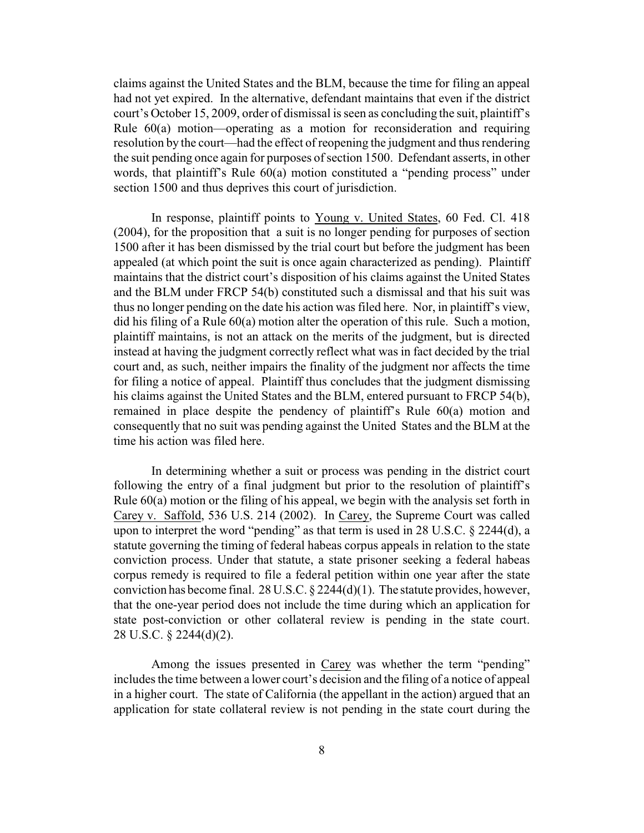claims against the United States and the BLM, because the time for filing an appeal had not yet expired. In the alternative, defendant maintains that even if the district court's October 15, 2009, order of dismissal is seen as concluding the suit, plaintiff's Rule 60(a) motion—operating as a motion for reconsideration and requiring resolution by the court—had the effect of reopening the judgment and thus rendering the suit pending once again for purposes of section 1500. Defendant asserts, in other words, that plaintiff's Rule 60(a) motion constituted a "pending process" under section 1500 and thus deprives this court of jurisdiction.

In response, plaintiff points to Young v. United States, 60 Fed. Cl. 418 (2004), for the proposition that a suit is no longer pending for purposes of section 1500 after it has been dismissed by the trial court but before the judgment has been appealed (at which point the suit is once again characterized as pending). Plaintiff maintains that the district court's disposition of his claims against the United States and the BLM under FRCP 54(b) constituted such a dismissal and that his suit was thus no longer pending on the date his action was filed here. Nor, in plaintiff's view, did his filing of a Rule 60(a) motion alter the operation of this rule. Such a motion, plaintiff maintains, is not an attack on the merits of the judgment, but is directed instead at having the judgment correctly reflect what was in fact decided by the trial court and, as such, neither impairs the finality of the judgment nor affects the time for filing a notice of appeal. Plaintiff thus concludes that the judgment dismissing his claims against the United States and the BLM, entered pursuant to FRCP 54(b), remained in place despite the pendency of plaintiff's Rule 60(a) motion and consequently that no suit was pending against the United States and the BLM at the time his action was filed here.

In determining whether a suit or process was pending in the district court following the entry of a final judgment but prior to the resolution of plaintiff's Rule 60(a) motion or the filing of his appeal, we begin with the analysis set forth in Carey v. Saffold, 536 U.S. 214 (2002). In Carey, the Supreme Court was called upon to interpret the word "pending" as that term is used in 28 U.S.C. § 2244(d), a statute governing the timing of federal habeas corpus appeals in relation to the state conviction process. Under that statute, a state prisoner seeking a federal habeas corpus remedy is required to file a federal petition within one year after the state conviction has become final. 28 U.S.C. § 2244(d)(1). The statute provides, however, that the one-year period does not include the time during which an application for state post-conviction or other collateral review is pending in the state court. 28 U.S.C. § 2244(d)(2).

Among the issues presented in Carey was whether the term "pending" includes the time between a lower court's decision and the filing of a notice of appeal in a higher court. The state of California (the appellant in the action) argued that an application for state collateral review is not pending in the state court during the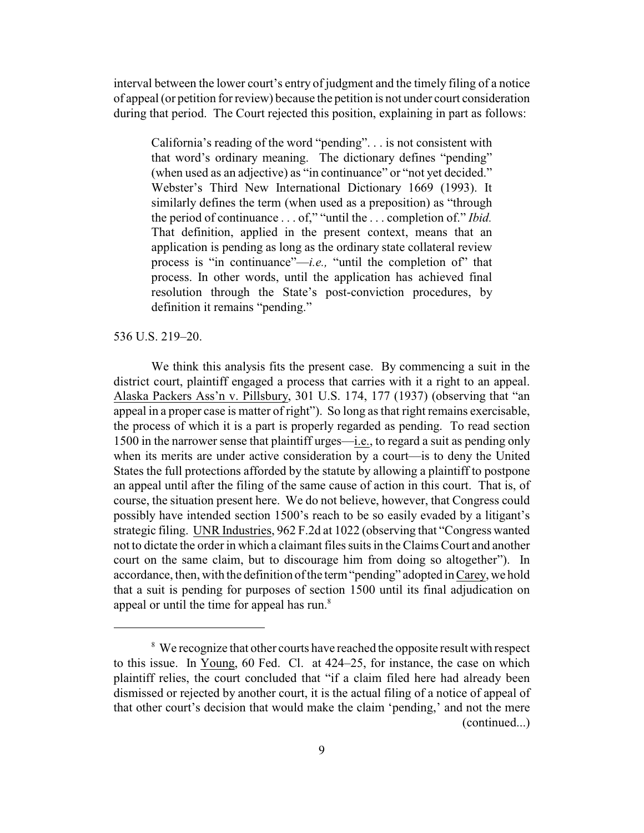interval between the lower court's entry of judgment and the timely filing of a notice of appeal (or petition for review) because the petition is not under court consideration during that period. The Court rejected this position, explaining in part as follows:

California's reading of the word "pending". . . is not consistent with that word's ordinary meaning. The dictionary defines "pending" (when used as an adjective) as "in continuance" or "not yet decided." Webster's Third New International Dictionary 1669 (1993). It similarly defines the term (when used as a preposition) as "through the period of continuance . . . of," "until the . . . completion of." *Ibid.* That definition, applied in the present context, means that an application is pending as long as the ordinary state collateral review process is "in continuance"—*i.e.,* "until the completion of" that process. In other words, until the application has achieved final resolution through the State's post-conviction procedures, by definition it remains "pending."

### 536 U.S. 219–20.

We think this analysis fits the present case. By commencing a suit in the district court, plaintiff engaged a process that carries with it a right to an appeal. Alaska Packers Ass'n v. Pillsbury, 301 U.S. 174, 177 (1937) (observing that "an appeal in a proper case is matter of right"). So long as that right remains exercisable, the process of which it is a part is properly regarded as pending. To read section 1500 in the narrower sense that plaintiff urges—i.e., to regard a suit as pending only when its merits are under active consideration by a court—is to deny the United States the full protections afforded by the statute by allowing a plaintiff to postpone an appeal until after the filing of the same cause of action in this court. That is, of course, the situation present here. We do not believe, however, that Congress could possibly have intended section 1500's reach to be so easily evaded by a litigant's strategic filing. UNR Industries, 962 F.2d at 1022 (observing that "Congress wanted not to dictate the order in which a claimant files suits in the Claims Court and another court on the same claim, but to discourage him from doing so altogether"). In accordance, then, with the definition of the term "pending" adopted in Carey, we hold that a suit is pending for purposes of section 1500 until its final adjudication on appeal or until the time for appeal has run.<sup>8</sup>

<sup>&</sup>lt;sup>8</sup> We recognize that other courts have reached the opposite result with respect to this issue. In Young, 60 Fed. Cl. at 424–25, for instance, the case on which plaintiff relies, the court concluded that "if a claim filed here had already been dismissed or rejected by another court, it is the actual filing of a notice of appeal of that other court's decision that would make the claim 'pending,' and not the mere (continued...)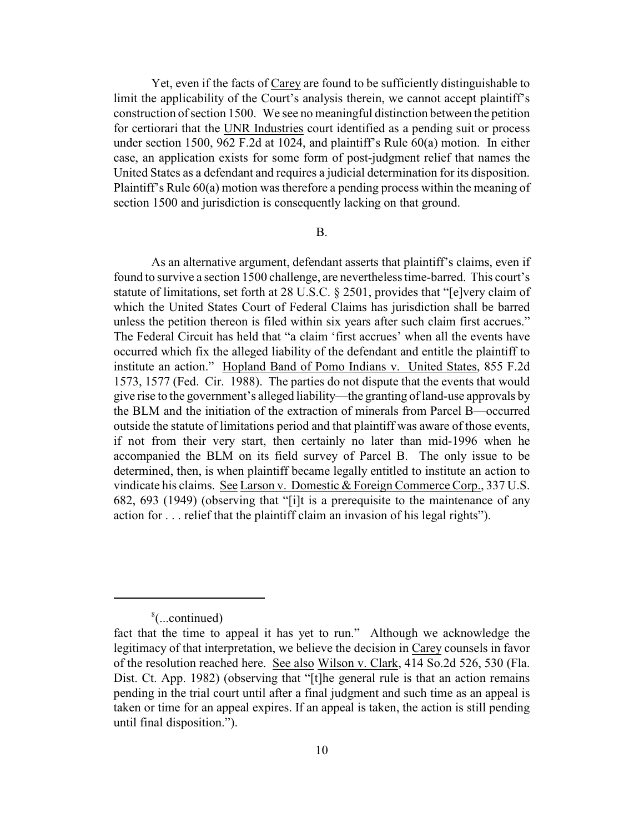Yet, even if the facts of Carey are found to be sufficiently distinguishable to limit the applicability of the Court's analysis therein, we cannot accept plaintiff's construction of section 1500. We see no meaningful distinction between the petition for certiorari that the UNR Industries court identified as a pending suit or process under section 1500, 962 F.2d at 1024, and plaintiff's Rule 60(a) motion. In either case, an application exists for some form of post-judgment relief that names the United States as a defendant and requires a judicial determination for its disposition. Plaintiff's Rule 60(a) motion was therefore a pending process within the meaning of section 1500 and jurisdiction is consequently lacking on that ground.

# B.

As an alternative argument, defendant asserts that plaintiff's claims, even if found to survive a section 1500 challenge, are nevertheless time-barred. This court's statute of limitations, set forth at 28 U.S.C. § 2501, provides that "[e]very claim of which the United States Court of Federal Claims has jurisdiction shall be barred unless the petition thereon is filed within six years after such claim first accrues." The Federal Circuit has held that "a claim 'first accrues' when all the events have occurred which fix the alleged liability of the defendant and entitle the plaintiff to institute an action." Hopland Band of Pomo Indians v. United States, 855 F.2d 1573, 1577 (Fed. Cir. 1988). The parties do not dispute that the events that would give rise to the government's alleged liability—the granting of land-use approvals by the BLM and the initiation of the extraction of minerals from Parcel B—occurred outside the statute of limitations period and that plaintiff was aware of those events, if not from their very start, then certainly no later than mid-1996 when he accompanied the BLM on its field survey of Parcel B. The only issue to be determined, then, is when plaintiff became legally entitled to institute an action to vindicate his claims. See Larson v. Domestic & Foreign Commerce Corp., 337 U.S. 682, 693 (1949) (observing that "[i]t is a prerequisite to the maintenance of any action for . . . relief that the plaintiff claim an invasion of his legal rights").

 $\frac{8}{2}$ (...continued)

fact that the time to appeal it has yet to run." Although we acknowledge the legitimacy of that interpretation, we believe the decision in Carey counsels in favor of the resolution reached here. See also Wilson v. Clark, 414 So.2d 526, 530 (Fla. Dist. Ct. App. 1982) (observing that "[t]he general rule is that an action remains pending in the trial court until after a final judgment and such time as an appeal is taken or time for an appeal expires. If an appeal is taken, the action is still pending until final disposition.").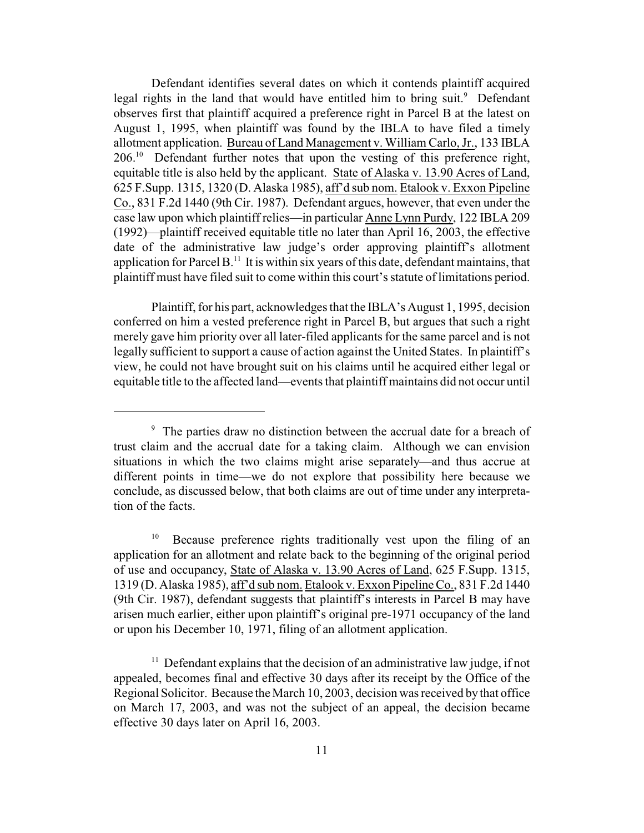Defendant identifies several dates on which it contends plaintiff acquired legal rights in the land that would have entitled him to bring suit.<sup>9</sup> Defendant observes first that plaintiff acquired a preference right in Parcel B at the latest on August 1, 1995, when plaintiff was found by the IBLA to have filed a timely allotment application. Bureau of Land Management v. William Carlo,Jr., 133 IBLA  $206<sup>10</sup>$  Defendant further notes that upon the vesting of this preference right, equitable title is also held by the applicant. State of Alaska v. 13.90 Acres of Land, 625 F.Supp. 1315, 1320 (D. Alaska 1985), aff'd sub nom. Etalook v. Exxon Pipeline Co., 831 F.2d 1440 (9th Cir. 1987). Defendant argues, however, that even under the case law upon which plaintiff relies—in particular Anne Lynn Purdy, 122 IBLA 209 (1992)—plaintiff received equitable title no later than April 16, 2003, the effective date of the administrative law judge's order approving plaintiff's allotment application for Parcel B.<sup>11</sup> It is within six years of this date, defendant maintains, that plaintiff must have filed suit to come within this court's statute of limitations period.

Plaintiff, for his part, acknowledges that the IBLA's August 1, 1995, decision conferred on him a vested preference right in Parcel B, but argues that such a right merely gave him priority over all later-filed applicants for the same parcel and is not legally sufficient to support a cause of action against the United States. In plaintiff's view, he could not have brought suit on his claims until he acquired either legal or equitable title to the affected land—eventsthat plaintiff maintains did not occur until

 $\degree$  The parties draw no distinction between the accrual date for a breach of trust claim and the accrual date for a taking claim. Although we can envision situations in which the two claims might arise separately—and thus accrue at different points in time—we do not explore that possibility here because we conclude, as discussed below, that both claims are out of time under any interpretation of the facts.

 $10$  Because preference rights traditionally vest upon the filing of an application for an allotment and relate back to the beginning of the original period of use and occupancy, State of Alaska v. 13.90 Acres of Land, 625 F.Supp. 1315, 1319 (D. Alaska 1985), aff'd sub nom. Etalook v. Exxon Pipeline Co., 831 F.2d 1440 (9th Cir. 1987), defendant suggests that plaintiff's interests in Parcel B may have arisen much earlier, either upon plaintiff's original pre-1971 occupancy of the land or upon his December 10, 1971, filing of an allotment application.

 $11$  Defendant explains that the decision of an administrative law judge, if not appealed, becomes final and effective 30 days after its receipt by the Office of the Regional Solicitor. Because the March 10, 2003, decision was received by that office on March 17, 2003, and was not the subject of an appeal, the decision became effective 30 days later on April 16, 2003.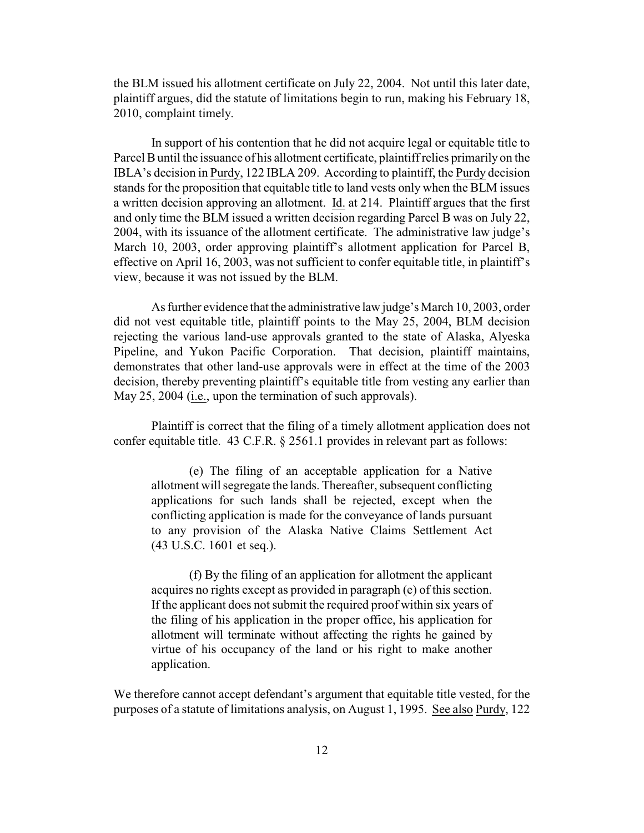the BLM issued his allotment certificate on July 22, 2004. Not until this later date, plaintiff argues, did the statute of limitations begin to run, making his February 18, 2010, complaint timely.

In support of his contention that he did not acquire legal or equitable title to Parcel Buntil the issuance of his allotment certificate, plaintiff relies primarily on the IBLA's decision in Purdy, 122 IBLA 209. According to plaintiff, the Purdy decision stands for the proposition that equitable title to land vests only when the BLM issues a written decision approving an allotment. Id. at 214. Plaintiff argues that the first and only time the BLM issued a written decision regarding Parcel B was on July 22, 2004, with its issuance of the allotment certificate. The administrative law judge's March 10, 2003, order approving plaintiff's allotment application for Parcel B, effective on April 16, 2003, was not sufficient to confer equitable title, in plaintiff's view, because it was not issued by the BLM.

As further evidence that the administrative law judge's March 10, 2003, order did not vest equitable title, plaintiff points to the May 25, 2004, BLM decision rejecting the various land-use approvals granted to the state of Alaska, Alyeska Pipeline, and Yukon Pacific Corporation. That decision, plaintiff maintains, demonstrates that other land-use approvals were in effect at the time of the 2003 decision, thereby preventing plaintiff's equitable title from vesting any earlier than May 25, 2004 (i.e., upon the termination of such approvals).

Plaintiff is correct that the filing of a timely allotment application does not confer equitable title. 43 C.F.R. § 2561.1 provides in relevant part as follows:

(e) The filing of an acceptable application for a Native allotment will segregate the lands. Thereafter, subsequent conflicting applications for such lands shall be rejected, except when the conflicting application is made for the conveyance of lands pursuant to any provision of the Alaska Native Claims Settlement Act (43 U.S.C. 1601 et seq.).

(f) By the filing of an application for allotment the applicant acquires no rights except as provided in paragraph (e) of this section. If the applicant does not submit the required proof within six years of the filing of his application in the proper office, his application for allotment will terminate without affecting the rights he gained by virtue of his occupancy of the land or his right to make another application.

We therefore cannot accept defendant's argument that equitable title vested, for the purposes of a statute of limitations analysis, on August 1, 1995. See also Purdy, 122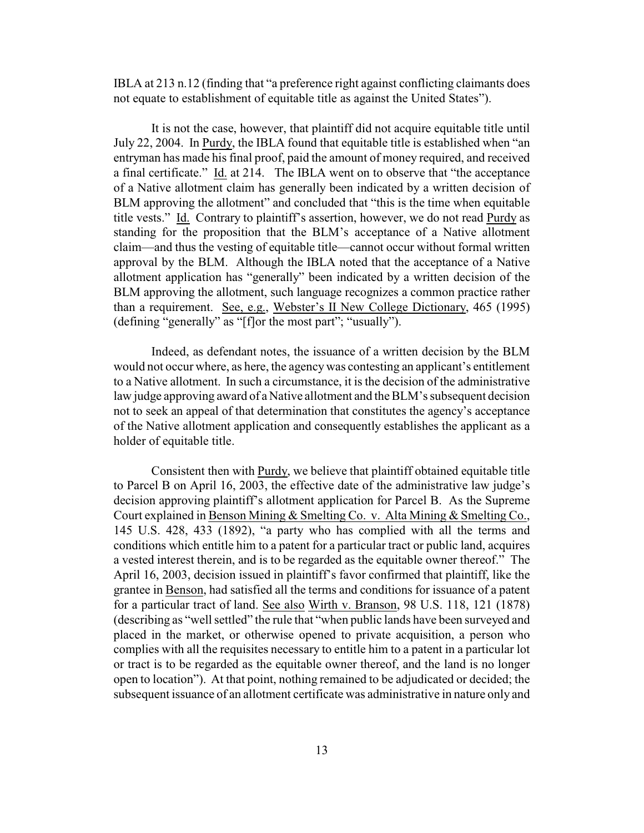IBLA at 213 n.12 (finding that "a preference right against conflicting claimants does not equate to establishment of equitable title as against the United States").

It is not the case, however, that plaintiff did not acquire equitable title until July 22, 2004. In Purdy, the IBLA found that equitable title is established when "an entryman has made his final proof, paid the amount of money required, and received a final certificate." Id. at 214. The IBLA went on to observe that "the acceptance of a Native allotment claim has generally been indicated by a written decision of BLM approving the allotment" and concluded that "this is the time when equitable title vests." Id. Contrary to plaintiff's assertion, however, we do not read Purdy as standing for the proposition that the BLM's acceptance of a Native allotment claim—and thus the vesting of equitable title—cannot occur without formal written approval by the BLM. Although the IBLA noted that the acceptance of a Native allotment application has "generally" been indicated by a written decision of the BLM approving the allotment, such language recognizes a common practice rather than a requirement. See, e.g., Webster's II New College Dictionary, 465 (1995) (defining "generally" as "[f]or the most part"; "usually").

Indeed, as defendant notes, the issuance of a written decision by the BLM would not occur where, as here, the agencywas contesting an applicant's entitlement to a Native allotment. In such a circumstance, it is the decision of the administrative law judge approving award of a Native allotment and the BLM's subsequent decision not to seek an appeal of that determination that constitutes the agency's acceptance of the Native allotment application and consequently establishes the applicant as a holder of equitable title.

Consistent then with Purdy, we believe that plaintiff obtained equitable title to Parcel B on April 16, 2003, the effective date of the administrative law judge's decision approving plaintiff's allotment application for Parcel B. As the Supreme Court explained in Benson Mining & Smelting Co. v. Alta Mining & Smelting Co., 145 U.S. 428, 433 (1892), "a party who has complied with all the terms and conditions which entitle him to a patent for a particular tract or public land, acquires a vested interest therein, and is to be regarded as the equitable owner thereof." The April 16, 2003, decision issued in plaintiff's favor confirmed that plaintiff, like the grantee in Benson, had satisfied all the terms and conditions for issuance of a patent for a particular tract of land. See also Wirth v. Branson, 98 U.S. 118, 121 (1878) (describing as "well settled" the rule that "when public lands have been surveyed and placed in the market, or otherwise opened to private acquisition, a person who complies with all the requisites necessary to entitle him to a patent in a particular lot or tract is to be regarded as the equitable owner thereof, and the land is no longer open to location"). At that point, nothing remained to be adjudicated or decided; the subsequent issuance of an allotment certificate was administrative in nature only and